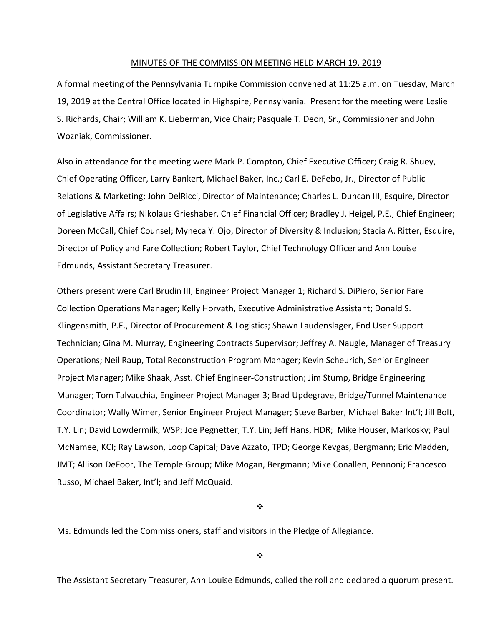#### MINUTES OF THE COMMISSION MEETING HELD MARCH 19, 2019

A formal meeting of the Pennsylvania Turnpike Commission convened at 11:25 a.m. on Tuesday, March 19, 2019 at the Central Office located in Highspire, Pennsylvania. Present for the meeting were Leslie S. Richards, Chair; William K. Lieberman, Vice Chair; Pasquale T. Deon, Sr., Commissioner and John Wozniak, Commissioner.

Also in attendance for the meeting were Mark P. Compton, Chief Executive Officer; Craig R. Shuey, Chief Operating Officer, Larry Bankert, Michael Baker, Inc.; Carl E. DeFebo, Jr., Director of Public Relations & Marketing; John DelRicci, Director of Maintenance; Charles L. Duncan III, Esquire, Director of Legislative Affairs; Nikolaus Grieshaber, Chief Financial Officer; Bradley J. Heigel, P.E., Chief Engineer; Doreen McCall, Chief Counsel; Myneca Y. Ojo, Director of Diversity & Inclusion; Stacia A. Ritter, Esquire, Director of Policy and Fare Collection; Robert Taylor, Chief Technology Officer and Ann Louise Edmunds, Assistant Secretary Treasurer.

Others present were Carl Brudin III, Engineer Project Manager 1; Richard S. DiPiero, Senior Fare Collection Operations Manager; Kelly Horvath, Executive Administrative Assistant; Donald S. Klingensmith, P.E., Director of Procurement & Logistics; Shawn Laudenslager, End User Support Technician; Gina M. Murray, Engineering Contracts Supervisor; Jeffrey A. Naugle, Manager of Treasury Operations; Neil Raup, Total Reconstruction Program Manager; Kevin Scheurich, Senior Engineer Project Manager; Mike Shaak, Asst. Chief Engineer‐Construction; Jim Stump, Bridge Engineering Manager; Tom Talvacchia, Engineer Project Manager 3; Brad Updegrave, Bridge/Tunnel Maintenance Coordinator; Wally Wimer, Senior Engineer Project Manager; Steve Barber, Michael Baker Int'l; Jill Bolt, T.Y. Lin; David Lowdermilk, WSP; Joe Pegnetter, T.Y. Lin; Jeff Hans, HDR; Mike Houser, Markosky; Paul McNamee, KCI; Ray Lawson, Loop Capital; Dave Azzato, TPD; George Kevgas, Bergmann; Eric Madden, JMT; Allison DeFoor, The Temple Group; Mike Mogan, Bergmann; Mike Conallen, Pennoni; Francesco Russo, Michael Baker, Int'l; and Jeff McQuaid.

❖

Ms. Edmunds led the Commissioners, staff and visitors in the Pledge of Allegiance.

 $\frac{1}{2}$ 

The Assistant Secretary Treasurer, Ann Louise Edmunds, called the roll and declared a quorum present.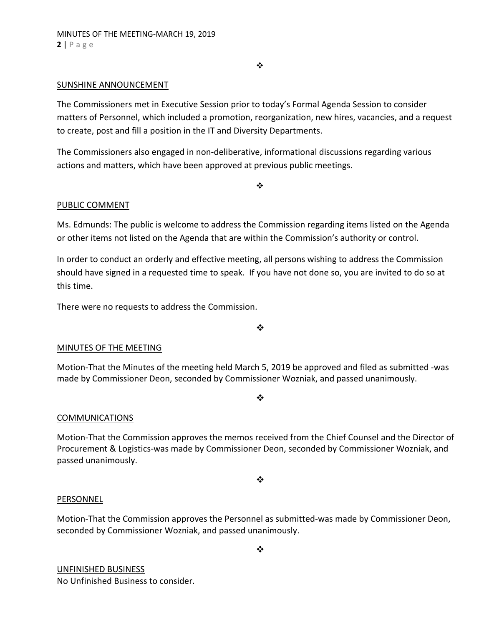$\bullet$ 

# SUNSHINE ANNOUNCEMENT

The Commissioners met in Executive Session prior to today's Formal Agenda Session to consider matters of Personnel, which included a promotion, reorganization, new hires, vacancies, and a request to create, post and fill a position in the IT and Diversity Departments.

The Commissioners also engaged in non‐deliberative, informational discussions regarding various actions and matters, which have been approved at previous public meetings.

❖

#### PUBLIC COMMENT

Ms. Edmunds: The public is welcome to address the Commission regarding items listed on the Agenda or other items not listed on the Agenda that are within the Commission's authority or control.

In order to conduct an orderly and effective meeting, all persons wishing to address the Commission should have signed in a requested time to speak. If you have not done so, you are invited to do so at this time.

There were no requests to address the Commission.

❖

# MINUTES OF THE MEETING

Motion‐That the Minutes of the meeting held March 5, 2019 be approved and filed as submitted ‐was made by Commissioner Deon, seconded by Commissioner Wozniak, and passed unanimously.

 $\cdot$ 

# COMMUNICATIONS

Motion‐That the Commission approves the memos received from the Chief Counsel and the Director of Procurement & Logistics‐was made by Commissioner Deon, seconded by Commissioner Wozniak, and passed unanimously.

❖

#### PERSONNEL

Motion‐That the Commission approves the Personnel as submitted‐was made by Commissioner Deon, seconded by Commissioner Wozniak, and passed unanimously.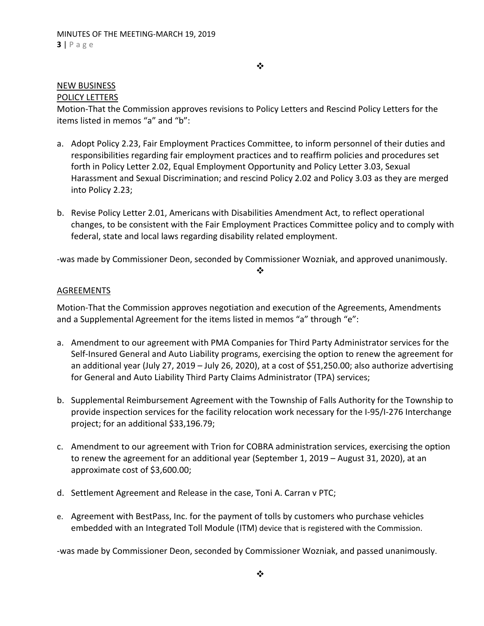# NEW BUSINESS

# POLICY LETTERS

Motion‐That the Commission approves revisions to Policy Letters and Rescind Policy Letters for the items listed in memos "a" and "b":

- a. Adopt Policy 2.23, Fair Employment Practices Committee, to inform personnel of their duties and responsibilities regarding fair employment practices and to reaffirm policies and procedures set forth in Policy Letter 2.02, Equal Employment Opportunity and Policy Letter 3.03, Sexual Harassment and Sexual Discrimination; and rescind Policy 2.02 and Policy 3.03 as they are merged into Policy 2.23;
- b. Revise Policy Letter 2.01, Americans with Disabilities Amendment Act, to reflect operational changes, to be consistent with the Fair Employment Practices Committee policy and to comply with federal, state and local laws regarding disability related employment.

‐was made by Commissioner Deon, seconded by Commissioner Wozniak, and approved unanimously.

#### ❖

#### AGREEMENTS

Motion‐That the Commission approves negotiation and execution of the Agreements, Amendments and a Supplemental Agreement for the items listed in memos "a" through "e":

- a. Amendment to our agreement with PMA Companies for Third Party Administrator services for the Self‐Insured General and Auto Liability programs, exercising the option to renew the agreement for an additional year (July 27, 2019 – July 26, 2020), at a cost of \$51,250.00; also authorize advertising for General and Auto Liability Third Party Claims Administrator (TPA) services;
- b. Supplemental Reimbursement Agreement with the Township of Falls Authority for the Township to provide inspection services for the facility relocation work necessary for the I‐95/I‐276 Interchange project; for an additional \$33,196.79;
- c. Amendment to our agreement with Trion for COBRA administration services, exercising the option to renew the agreement for an additional year (September 1, 2019 – August 31, 2020), at an approximate cost of \$3,600.00;
- d. Settlement Agreement and Release in the case, Toni A. Carran v PTC;
- e. Agreement with BestPass, Inc. for the payment of tolls by customers who purchase vehicles embedded with an Integrated Toll Module (ITM) device that is registered with the Commission.

‐was made by Commissioner Deon, seconded by Commissioner Wozniak, and passed unanimously.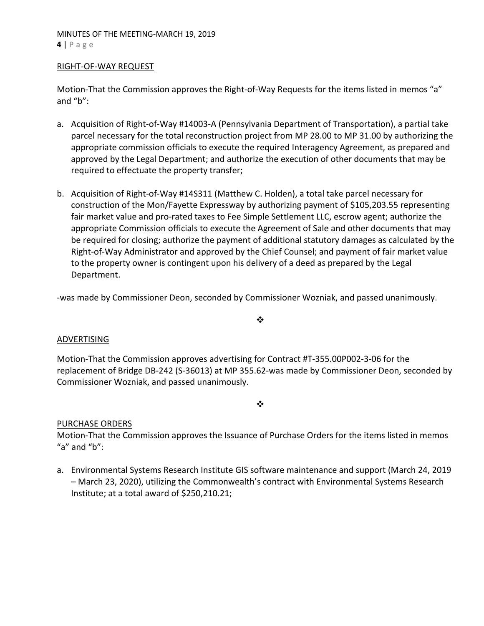#### RIGHT‐OF‐WAY REQUEST

Motion-That the Commission approves the Right-of-Way Requests for the items listed in memos "a" and "b":

- a. Acquisition of Right‐of‐Way #14003‐A (Pennsylvania Department of Transportation), a partial take parcel necessary for the total reconstruction project from MP 28.00 to MP 31.00 by authorizing the appropriate commission officials to execute the required Interagency Agreement, as prepared and approved by the Legal Department; and authorize the execution of other documents that may be required to effectuate the property transfer;
- b. Acquisition of Right‐of‐Way #14S311 (Matthew C. Holden), a total take parcel necessary for construction of the Mon/Fayette Expressway by authorizing payment of \$105,203.55 representing fair market value and pro‐rated taxes to Fee Simple Settlement LLC, escrow agent; authorize the appropriate Commission officials to execute the Agreement of Sale and other documents that may be required for closing; authorize the payment of additional statutory damages as calculated by the Right‐of‐Way Administrator and approved by the Chief Counsel; and payment of fair market value to the property owner is contingent upon his delivery of a deed as prepared by the Legal Department.

‐was made by Commissioner Deon, seconded by Commissioner Wozniak, and passed unanimously.

#### $\cdot$

# ADVERTISING

Motion‐That the Commission approves advertising for Contract #T‐355.00P002‐3‐06 for the replacement of Bridge DB‐242 (S‐36013) at MP 355.62‐was made by Commissioner Deon, seconded by Commissioner Wozniak, and passed unanimously.

 $\bullet^{\bullet}_{\bullet} \bullet$ 

# PURCHASE ORDERS

Motion‐That the Commission approves the Issuance of Purchase Orders for the items listed in memos "a" and " $b$ ":

a. Environmental Systems Research Institute GIS software maintenance and support (March 24, 2019 – March 23, 2020), utilizing the Commonwealth's contract with Environmental Systems Research Institute; at a total award of \$250,210.21;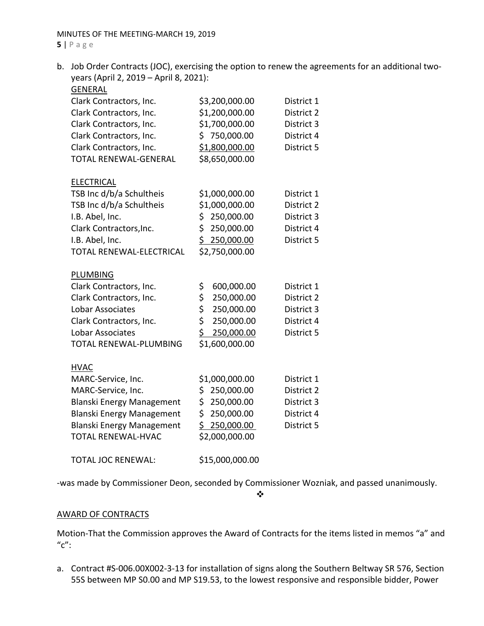b. Job Order Contracts (JOC), exercising the option to renew the agreements for an additional twoyears (April 2, 2019 – April 8, 2021):

| <b>GENERAL</b>                                                |                   |            |
|---------------------------------------------------------------|-------------------|------------|
| Clark Contractors, Inc.                                       | \$3,200,000.00    | District 1 |
| Clark Contractors, Inc.                                       | \$1,200,000.00    | District 2 |
| Clark Contractors, Inc.                                       | \$1,700,000.00    | District 3 |
| Clark Contractors, Inc.                                       | \$750,000.00      | District 4 |
| Clark Contractors, Inc.                                       | \$1,800,000.00    | District 5 |
| <b>TOTAL RENEWAL-GENERAL</b>                                  | \$8,650,000.00    |            |
|                                                               |                   |            |
| <b>ELECTRICAL</b>                                             |                   |            |
| TSB Inc d/b/a Schultheis                                      | \$1,000,000.00    | District 1 |
| TSB Inc d/b/a Schultheis                                      | \$1,000,000.00    | District 2 |
| I.B. Abel, Inc.                                               | 250,000.00<br>\$. | District 3 |
| Clark Contractors, Inc.                                       | \$<br>250,000.00  | District 4 |
| I.B. Abel, Inc.                                               | \$250,000.00      | District 5 |
| TOTAL RENEWAL-ELECTRICAL                                      | \$2,750,000.00    |            |
|                                                               |                   |            |
| <b>PLUMBING</b>                                               |                   |            |
| Clark Contractors, Inc.                                       | \$<br>600,000.00  | District 1 |
| Clark Contractors, Inc.                                       | \$<br>250,000.00  | District 2 |
| <b>Lobar Associates</b>                                       | \$<br>250,000.00  | District 3 |
| Clark Contractors, Inc.                                       | \$<br>250,000.00  | District 4 |
| <b>Lobar Associates</b>                                       | \$<br>250,000.00  | District 5 |
| TOTAL RENEWAL-PLUMBING                                        | \$1,600,000.00    |            |
|                                                               |                   |            |
| <b>HVAC</b>                                                   |                   |            |
| MARC-Service, Inc.                                            | \$1,000,000.00    | District 1 |
| MARC-Service, Inc.                                            | 250,000.00<br>\$  | District 2 |
| <b>Blanski Energy Management</b>                              | \$<br>250,000.00  | District 3 |
| <b>Blanski Energy Management</b>                              | \$<br>250,000.00  | District 4 |
| <b>Blanski Energy Management</b><br><b>TOTAL RENEWAL-HVAC</b> | \$250,000.00      | District 5 |
|                                                               | \$2,000,000.00    |            |
| <b>TOTAL JOC RENEWAL:</b>                                     | \$15,000,000.00   |            |
|                                                               |                   |            |

‐was made by Commissioner Deon, seconded by Commissioner Wozniak, and passed unanimously.

# $\frac{1}{2}$

# AWARD OF CONTRACTS

Motion‐That the Commission approves the Award of Contracts for the items listed in memos "a" and  $^{\prime\prime}$ c":

a. Contract #S‐006.00X002‐3‐13 for installation of signs along the Southern Beltway SR 576, Section 55S between MP S0.00 and MP S19.53, to the lowest responsive and responsible bidder, Power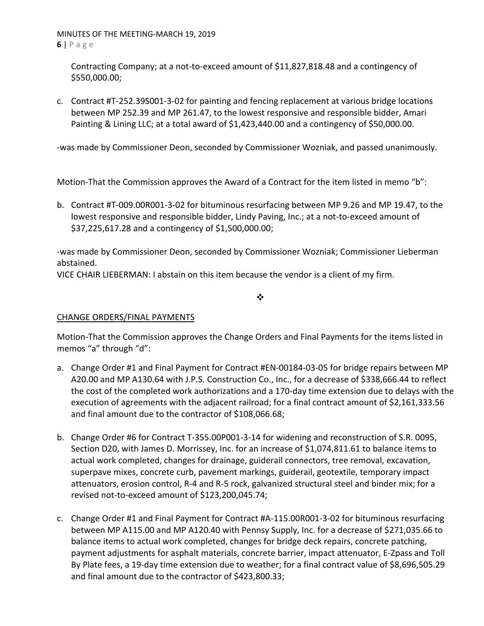Contracting Company; at a not‐to‐exceed amount of \$11,827,818.48 and a contingency of \$550,000.00;

c. Contract #T‐252.39S001‐3‐02 for painting and fencing replacement at various bridge locations between MP 252.39 and MP 261.47, to the lowest responsive and responsible bidder, Amari Painting & Lining LLC; at a total award of \$1,423,440.00 and a contingency of \$50,000.00.

‐was made by Commissioner Deon, seconded by Commissioner Wozniak, and passed unanimously.

Motion-That the Commission approves the Award of a Contract for the item listed in memo "b":

b. Contract #T‐009.00R001‐3‐02 for bituminous resurfacing between MP 9.26 and MP 19.47, to the lowest responsive and responsible bidder, Lindy Paving, Inc.; at a not-to-exceed amount of \$37,225,617.28 and a contingency of \$1,500,000.00;

‐was made by Commissioner Deon, seconded by Commissioner Wozniak; Commissioner Lieberman abstained.

VICE CHAIR LIEBERMAN: I abstain on this item because the vendor is a client of my firm.

❖

# CHANGE ORDERS/FINAL PAYMENTS

Motion‐That the Commission approves the Change Orders and Final Payments for the items listed in memos "a" through "d":

- a. Change Order #1 and Final Payment for Contract #EN‐00184‐03‐05 for bridge repairs between MP A20.00 and MP A130.64 with J.P.S. Construction Co., Inc., for a decrease of \$338,666.44 to reflect the cost of the completed work authorizations and a 170‐day time extension due to delays with the execution of agreements with the adjacent railroad; for a final contract amount of \$2,161,333.56 and final amount due to the contractor of \$108,066.68;
- b. Change Order #6 for Contract T‐355.00P001‐3‐14 for widening and reconstruction of S.R. 0095, Section D20, with James D. Morrissey, Inc. for an increase of \$1,074,811.61 to balance items to actual work completed, changes for drainage, guiderail connectors, tree removal, excavation, superpave mixes, concrete curb, pavement markings, guiderail, geotextile, temporary impact attenuators, erosion control, R‐4 and R‐5 rock, galvanized structural steel and binder mix; for a revised not‐to‐exceed amount of \$123,200,045.74;
- c. Change Order #1 and Final Payment for Contract #A‐115.00R001‐3‐02 for bituminous resurfacing between MP A115.00 and MP A120.40 with Pennsy Supply, Inc. for a decrease of \$271,035.66 to balance items to actual work completed, changes for bridge deck repairs, concrete patching, payment adjustments for asphalt materials, concrete barrier, impact attenuator, E‐Zpass and Toll By Plate fees, a 19‐day time extension due to weather; for a final contract value of \$8,696,505.29 and final amount due to the contractor of \$423,800.33;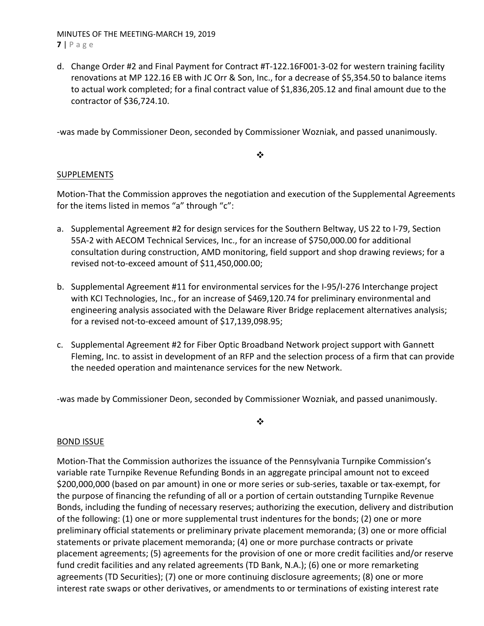MINUTES OF THE MEETING‐MARCH 19, 2019 **7** | Page

d. Change Order #2 and Final Payment for Contract #T‐122.16F001‐3‐02 for western training facility renovations at MP 122.16 EB with JC Orr & Son, Inc., for a decrease of \$5,354.50 to balance items to actual work completed; for a final contract value of \$1,836,205.12 and final amount due to the contractor of \$36,724.10.

‐was made by Commissioner Deon, seconded by Commissioner Wozniak, and passed unanimously.

 $\cdot$ 

# SUPPLEMENTS

Motion‐That the Commission approves the negotiation and execution of the Supplemental Agreements for the items listed in memos "a" through "c":

- a. Supplemental Agreement #2 for design services for the Southern Beltway, US 22 to I‐79, Section 55A-2 with AECOM Technical Services, Inc., for an increase of \$750,000.00 for additional consultation during construction, AMD monitoring, field support and shop drawing reviews; for a revised not‐to‐exceed amount of \$11,450,000.00;
- b. Supplemental Agreement #11 for environmental services for the I‐95/I‐276 Interchange project with KCI Technologies, Inc., for an increase of \$469,120.74 for preliminary environmental and engineering analysis associated with the Delaware River Bridge replacement alternatives analysis; for a revised not‐to‐exceed amount of \$17,139,098.95;
- c. Supplemental Agreement #2 for Fiber Optic Broadband Network project support with Gannett Fleming, Inc. to assist in development of an RFP and the selection process of a firm that can provide the needed operation and maintenance services for the new Network.

‐was made by Commissioner Deon, seconded by Commissioner Wozniak, and passed unanimously.

 $\cdot$ 

# BOND ISSUE

Motion‐That the Commission authorizes the issuance of the Pennsylvania Turnpike Commission's variable rate Turnpike Revenue Refunding Bonds in an aggregate principal amount not to exceed \$200,000,000 (based on par amount) in one or more series or sub‐series, taxable or tax‐exempt, for the purpose of financing the refunding of all or a portion of certain outstanding Turnpike Revenue Bonds, including the funding of necessary reserves; authorizing the execution, delivery and distribution of the following: (1) one or more supplemental trust indentures for the bonds; (2) one or more preliminary official statements or preliminary private placement memoranda; (3) one or more official statements or private placement memoranda; (4) one or more purchase contracts or private placement agreements; (5) agreements for the provision of one or more credit facilities and/or reserve fund credit facilities and any related agreements (TD Bank, N.A.); (6) one or more remarketing agreements (TD Securities); (7) one or more continuing disclosure agreements; (8) one or more interest rate swaps or other derivatives, or amendments to or terminations of existing interest rate